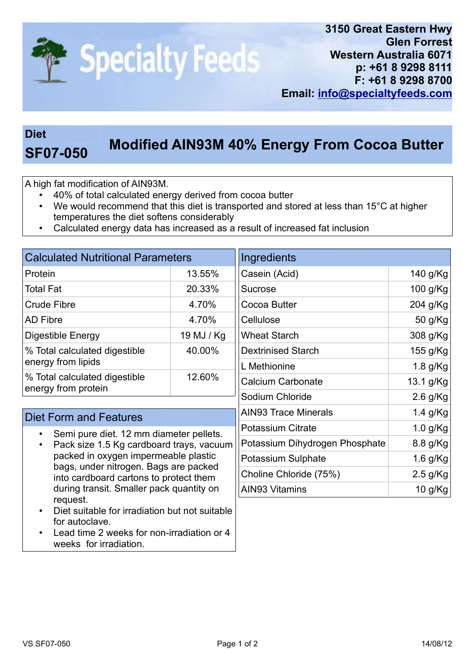

## Diet

## SF07-050 Modified AIN93M 40% Energy From Cocoa Butter

A high fat modification of AIN93M.

- 40% of total calculated energy derived from cocoa butter
- We would recommend that this diet is transported and stored at less than 15°C at higher temperatures the diet softens considerably
- Calculated energy data has increased as a result of increased fat inclusion

| <b>Calculated Nutritional Parameters</b>             |            |  |  |
|------------------------------------------------------|------------|--|--|
| Protein                                              | 13.55%     |  |  |
| <b>Total Fat</b>                                     | 20.33%     |  |  |
| <b>Crude Fibre</b>                                   | 4.70%      |  |  |
| <b>AD Fibre</b>                                      | 4.70%      |  |  |
| Digestible Energy                                    | 19 MJ / Kg |  |  |
| % Total calculated digestible<br>energy from lipids  | 40.00%     |  |  |
| % Total calculated digestible<br>energy from protein | 12.60%     |  |  |

## Diet Form and Features

- Semi pure diet. 12 mm diameter pellets.
- Pack size 1.5 Kg cardboard trays, vacuum packed in oxygen impermeable plastic bags, under nitrogen. Bags are packed into cardboard cartons to protect them during transit. Smaller pack quantity on request.
- Diet suitable for irradiation but not suitable for autoclave.
- Lead time 2 weeks for non-irradiation or 4 weeks for irradiation.

| Ingredients                    |            |
|--------------------------------|------------|
| Casein (Acid)                  | 140 g/Kg   |
| Sucrose                        | 100 g/Kg   |
| Cocoa Butter                   | 204 g/Kg   |
| Cellulose                      | 50 g/Kg    |
| <b>Wheat Starch</b>            | 308 g/Kg   |
| <b>Dextrinised Starch</b>      | 155 g/Kg   |
| L Methionine                   | 1.8 g/Kg   |
| <b>Calcium Carbonate</b>       | 13.1 g/Kg  |
| Sodium Chloride                | $2.6$ g/Kg |
| <b>AIN93 Trace Minerals</b>    | 1.4 g/Kg   |
| <b>Potassium Citrate</b>       | $1.0$ g/Kg |
| Potassium Dihydrogen Phosphate | 8.8 g/Kg   |
| Potassium Sulphate             | 1.6 g/Kg   |
| Choline Chloride (75%)         | $2.5$ g/Kg |
| AIN93 Vitamins                 | 10 g/Kg    |